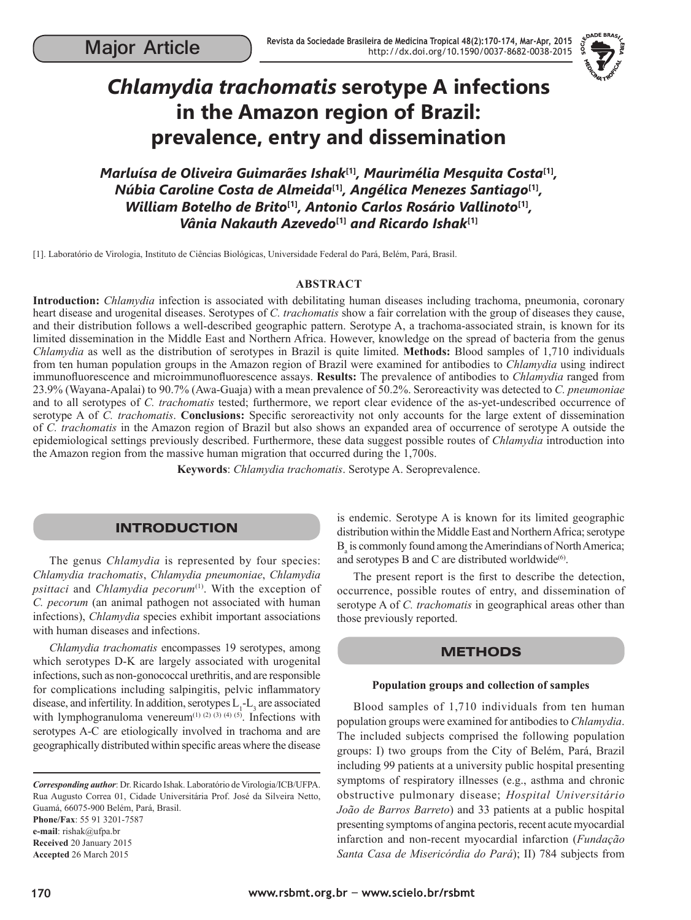

# *Chlamydia trachomatis* **serotype A infections in the Amazon region of Brazil: prevalence, entry and dissemination**

*Marluísa de Oliveira Guimarães Ishak***[1]***, Maurimélia Mesquita Costa***[1]***, Núbia Caroline Costa de Almeida***[1]***, Angélica Menezes Santiago***[1]***, William Botelho de Brito***[1]***, Antonio Carlos Rosário Vallinoto***[1]***, Vânia Nakauth Azevedo***[1]** *and Ricardo Ishak***[1]**

[1]. Laboratório de Virologia, Instituto de Ciências Biológicas, Universidade Federal do Pará, Belém, Pará, Brasil.

## **ABSTRACT**

**Introduction:** *Chlamydia* infection is associated with debilitating human diseases including trachoma, pneumonia, coronary heart disease and urogenital diseases. Serotypes of *C. trachomatis* show a fair correlation with the group of diseases they cause, and their distribution follows a well-described geographic pattern. Serotype A, a trachoma-associated strain, is known for its limited dissemination in the Middle East and Northern Africa. However, knowledge on the spread of bacteria from the genus *Chlamydia* as well as the distribution of serotypes in Brazil is quite limited. **Methods:** Blood samples of 1,710 individuals from ten human population groups in the Amazon region of Brazil were examined for antibodies to *Chlamydia* using indirect immunofluorescence and microimmunofluorescence assays. **Results:** The prevalence of antibodies to *Chlamydia* ranged from 23.9% (Wayana-Apalai) to 90.7% (Awa-Guaja) with a mean prevalence of 50.2%. Seroreactivity was detected to *C. pneumoniae* and to all serotypes of *C. trachomatis* tested; furthermore, we report clear evidence of the as-yet-undescribed occurrence of serotype A of *C. trachomatis*. **Conclusions:** Specific seroreactivity not only accounts for the large extent of dissemination of *C. trachomatis* in the Amazon region of Brazil but also shows an expanded area of occurrence of serotype A outside the epidemiological settings previously described. Furthermore, these data suggest possible routes of *Chlamydia* introduction into the Amazon region from the massive human migration that occurred during the 1,700s.

**Keywords**: *Chlamydia trachomatis*. Serotype A. Seroprevalence.

# INTRODUCTION

The genus *Chlamydia* is represented by four species: *Chlamydia trachomatis*, *Chlamydia pneumoniae*, *Chlamydia psittaci* and *Chlamydia pecorum*<sup>(1)</sup>. With the exception of *C. pecorum* (an animal pathogen not associated with human infections), *Chlamydia* species exhibit important associations with human diseases and infections.

*Chlamydia trachomatis* encompasses 19 serotypes, among which serotypes D-K are largely associated with urogenital infections, such as non-gonococcal urethritis, and are responsible for complications including salpingitis, pelvic inflammatory disease, and infertility. In addition, serotypes  $L_1$ - $L_3$  are associated with lymphogranuloma venereum<sup>(1) (2) (3) (4) (5)</sup>. Infections with serotypes A-C are etiologically involved in trachoma and are geographically distributed within specific areas where the disease

*Corresponding author*: Dr. Ricardo Ishak. Laboratório de Virologia/ICB/UFPA. Rua Augusto Correa 01, Cidade Universitária Prof. José da Silveira Netto, Guamá, 66075-900 Belém, Pará, Brasil. **Phone/Fax**: 55 91 3201-7587 **e-mail**: rishak@ufpa.br **Received** 20 January 2015 **Accepted** 26 March 2015

is endemic. Serotype A is known for its limited geographic distribution within the Middle East and Northern Africa; serotype B<sub>a</sub> is commonly found among the Amerindians of North America; and serotypes B and C are distributed worldwide $^{(6)}$ .

The present report is the first to describe the detection, occurrence, possible routes of entry, and dissemination of serotype A of *C. trachomatis* in geographical areas other than those previously reported.

## **METHODS**

#### **Population groups and collection of samples**

Blood samples of 1,710 individuals from ten human population groups were examined for antibodies to *Chlamydia*. The included subjects comprised the following population groups: I) two groups from the City of Belém, Pará, Brazil including 99 patients at a university public hospital presenting symptoms of respiratory illnesses (e.g., asthma and chronic obstructive pulmonary disease; *Hospital Universitário João de Barros Barreto*) and 33 patients at a public hospital presenting symptoms of angina pectoris, recent acute myocardial infarction and non-recent myocardial infarction (*Fundação Santa Casa de Misericórdia do Pará*); II) 784 subjects from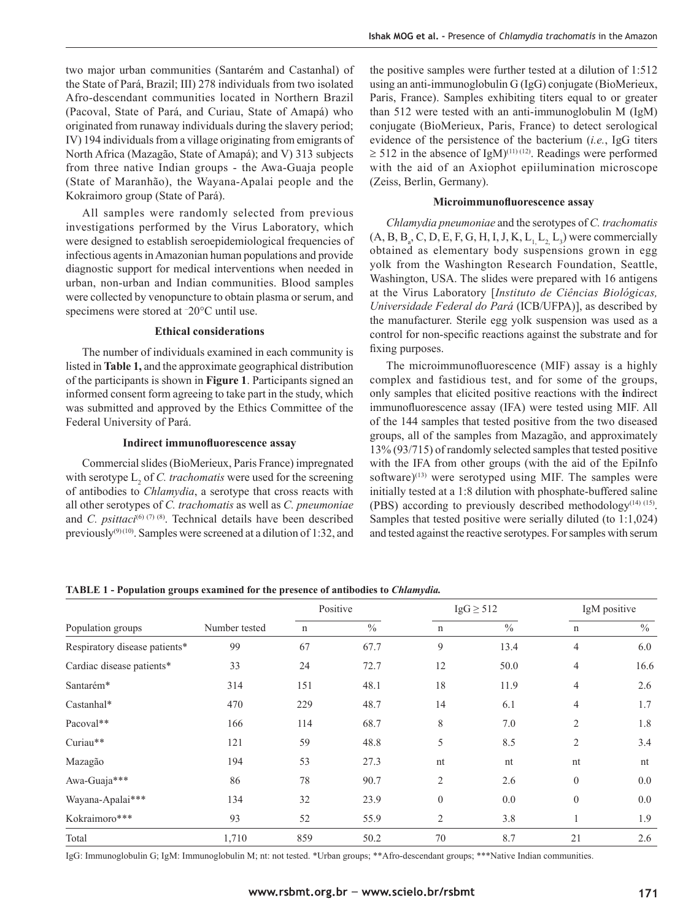two major urban communities (Santarém and Castanhal) of the State of Pará, Brazil; III) 278 individuals from two isolated Afro-descendant communities located in Northern Brazil (Pacoval, State of Pará, and Curiau, State of Amapá) who originated from runaway individuals during the slavery period; IV) 194 individuals from a village originating from emigrants of North Africa (Mazagão, State of Amapá); and V) 313 subjects from three native Indian groups - the Awa-Guaja people (State of Maranhão), the Wayana-Apalai people and the Kokraimoro group (State of Pará).

All samples were randomly selected from previous investigations performed by the Virus Laboratory, which were designed to establish seroepidemiological frequencies of infectious agents in Amazonian human populations and provide diagnostic support for medical interventions when needed in urban, non-urban and Indian communities. Blood samples were collected by venopuncture to obtain plasma or serum, and specimens were stored at – 20°C until use.

#### **Ethical considerations**

The number of individuals examined in each community is listed in **Table 1,** and the approximate geographical distribution of the participants is shown in **Figure 1**. Participants signed an informed consent form agreeing to take part in the study, which was submitted and approved by the Ethics Committee of the Federal University of Pará.

#### **Indirect immunofluorescence assay**

Commercial slides (BioMerieux, Paris France) impregnated with serotype  $L_2$  of *C. trachomatis* were used for the screening of antibodies to *Chlamydia*, a serotype that cross reacts with all other serotypes of *C. trachomatis* as well as *C. pneumoniae* and *C. psittaci*<sup>(6) (7) (8)</sup>. Technical details have been described previously<sup>(9) (10)</sup>. Samples were screened at a dilution of 1:32, and

the positive samples were further tested at a dilution of 1:512 using an anti-immunoglobulin G (IgG) conjugate (BioMerieux, Paris, France). Samples exhibiting titers equal to or greater than 512 were tested with an anti-immunoglobulin M (IgM) conjugate (BioMerieux, Paris, France) to detect serological evidence of the persistence of the bacterium (*i.e.*, IgG titers  $\geq$  512 in the absence of IgM)<sup>(11)(12)</sup>. Readings were performed with the aid of an Axiophot epiilumination microscope (Zeiss, Berlin, Germany).

#### **Microimmunofluorescence assay**

*Chlamydia pneumoniae* and the serotypes of *C. trachomatis*  $(A, B, B_a, C, D, E, F, G, H, I, J, K, L<sub>1</sub>, L<sub>2</sub>, L<sub>3</sub>)$  were commercially obtained as elementary body suspensions grown in egg yolk from the Washington Research Foundation, Seattle, Washington, USA. The slides were prepared with 16 antigens at the Virus Laboratory [*Instituto de Ciências Biológicas, Universidade Federal do Pará* (ICB/UFPA)], as described by the manufacturer. Sterile egg yolk suspension was used as a control for non-specific reactions against the substrate and for fixing purposes.

The microimmunofluorescence (MIF) assay is a highly complex and fastidious test, and for some of the groups, only samples that elicited positive reactions with the **i**ndirect immunofluorescence assay (IFA) were tested using MIF. All of the 144 samples that tested positive from the two diseased groups, all of the samples from Mazagão, and approximately 13% (93/715) of randomly selected samples that tested positive with the IFA from other groups (with the aid of the EpiInfo software) $(13)$  were serotyped using MIF. The samples were initially tested at a 1:8 dilution with phosphate-buffered saline (PBS) according to previously described methodology<sup>(14) (15)</sup>. Samples that tested positive were serially diluted (to 1:1,024) and tested against the reactive serotypes. For samples with serum

**TABLE 1 - Population groups examined for the presence of antibodies to** *Chlamydia.*

|                               |               |     | Positive      |                | $IgG \geq 512$ | IgM positive   |      |  |
|-------------------------------|---------------|-----|---------------|----------------|----------------|----------------|------|--|
| Population groups             | Number tested | n   | $\frac{0}{0}$ | n              | $\frac{0}{0}$  | n              | $\%$ |  |
| Respiratory disease patients* | 99            | 67  | 67.7          | 9              | 13.4           | $\overline{4}$ | 6.0  |  |
| Cardiac disease patients*     | 33            | 24  | 72.7          | 12             | 50.0           | 4              | 16.6 |  |
| Santarém*                     | 314           | 151 | 48.1          | 18             | 11.9           | $\overline{4}$ | 2.6  |  |
| Castanhal*                    | 470           | 229 | 48.7          | 14             | 6.1            | 4              | 1.7  |  |
| Pacoval**                     | 166           | 114 | 68.7          | 8              | 7.0            | $\overline{2}$ | 1.8  |  |
| Curiau**                      | 121           | 59  | 48.8          | 5              | 8.5            | $\overline{2}$ | 3.4  |  |
| Mazagão                       | 194           | 53  | 27.3          | nt             | nt             | nt             | nt   |  |
| Awa-Guaja***                  | 86            | 78  | 90.7          | $\overline{2}$ | 2.6            | $\mathbf{0}$   | 0.0  |  |
| Wayana-Apalai***              | 134           | 32  | 23.9          | $\theta$       | 0.0            | $\mathbf{0}$   | 0.0  |  |
| Kokraimoro***                 | 93            | 52  | 55.9          | 2              | 3.8            |                | 1.9  |  |
| Total                         | 1,710         | 859 | 50.2          | 70             | 8.7            | 21             | 2.6  |  |

IgG: Immunoglobulin G; IgM: Immunoglobulin M; nt: not tested. \*Urban groups; \*\*Afro-descendant groups; \*\*\*Native Indian communities.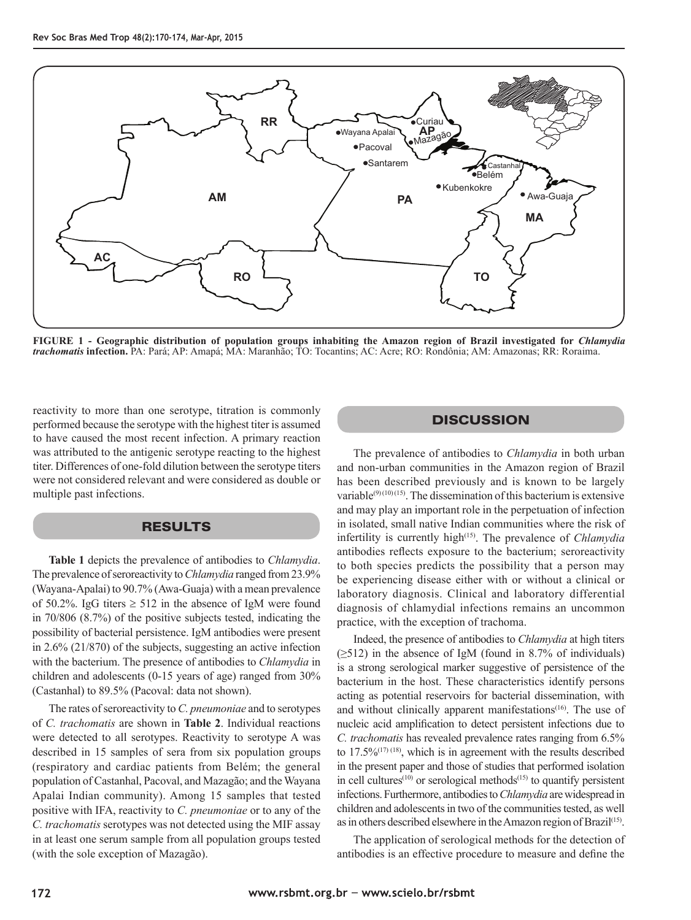

**FIGURE 1 - Geographic distribution of population groups inhabiting the Amazon region of Brazil investigated for** *Chlamydia trachomatis* **infection.** PA: Pará; AP: Amapá; MA: Maranhão; TO: Tocantins; AC: Acre; RO: Rondônia; AM: Amazonas; RR: Roraima.

reactivity to more than one serotype, titration is commonly performed because the serotype with the highest titer is assumed to have caused the most recent infection. A primary reaction was attributed to the antigenic serotype reacting to the highest titer. Differences of one-fold dilution between the serotype titers were not considered relevant and were considered as double or multiple past infections.

# RESULTS

**Table 1** depicts the prevalence of antibodies to *Chlamydia*. The prevalence of seroreactivity to *Chlamydia* ranged from 23.9% (Wayana-Apalai) to 90.7% (Awa-Guaja) with a mean prevalence of 50.2%. IgG titers  $\geq$  512 in the absence of IgM were found in 70/806 (8.7%) of the positive subjects tested, indicating the possibility of bacterial persistence. IgM antibodies were present in 2.6% (21/870) of the subjects, suggesting an active infection with the bacterium. The presence of antibodies to *Chlamydia* in children and adolescents (0-15 years of age) ranged from 30% (Castanhal) to 89.5% (Pacoval: data not shown).

The rates of seroreactivity to *C. pneumoniae* and to serotypes of *C. trachomatis* are shown in **Table 2**. Individual reactions were detected to all serotypes. Reactivity to serotype A was described in 15 samples of sera from six population groups (respiratory and cardiac patients from Belém; the general population of Castanhal, Pacoval, and Mazagão; and the Wayana Apalai Indian community). Among 15 samples that tested positive with IFA, reactivity to *C. pneumoniae* or to any of the *C. trachomatis* serotypes was not detected using the MIF assay in at least one serum sample from all population groups tested (with the sole exception of Mazagão).

# **DISCUSSION**

The prevalence of antibodies to *Chlamydia* in both urban and non-urban communities in the Amazon region of Brazil has been described previously and is known to be largely variable<sup>(9)(10)(15)</sup>. The dissemination of this bacterium is extensive and may play an important role in the perpetuation of infection in isolated, small native Indian communities where the risk of infertility is currently high<sup>(15)</sup>. The prevalence of *Chlamydia* antibodies reflects exposure to the bacterium; seroreactivity to both species predicts the possibility that a person may be experiencing disease either with or without a clinical or laboratory diagnosis. Clinical and laboratory differential diagnosis of chlamydial infections remains an uncommon practice, with the exception of trachoma.

Indeed, the presence of antibodies to *Chlamydia* at high titers  $(\geq 512)$  in the absence of IgM (found in 8.7% of individuals) is a strong serological marker suggestive of persistence of the bacterium in the host. These characteristics identify persons acting as potential reservoirs for bacterial dissemination, with and without clinically apparent manifestations<sup>(16)</sup>. The use of nucleic acid amplification to detect persistent infections due to *C. trachomatis* has revealed prevalence rates ranging from 6.5% to  $17.5\%^{(17)(18)}$ , which is in agreement with the results described in the present paper and those of studies that performed isolation in cell cultures<sup> $(10)$ </sup> or serological methods<sup> $(15)$ </sup> to quantify persistent infections. Furthermore, antibodies to *Chlamydia* are widespread in children and adolescents in two of the communities tested, as well as in others described elsewhere in the Amazon region of Brazil<sup>(15)</sup>.

The application of serological methods for the detection of antibodies is an effective procedure to measure and define the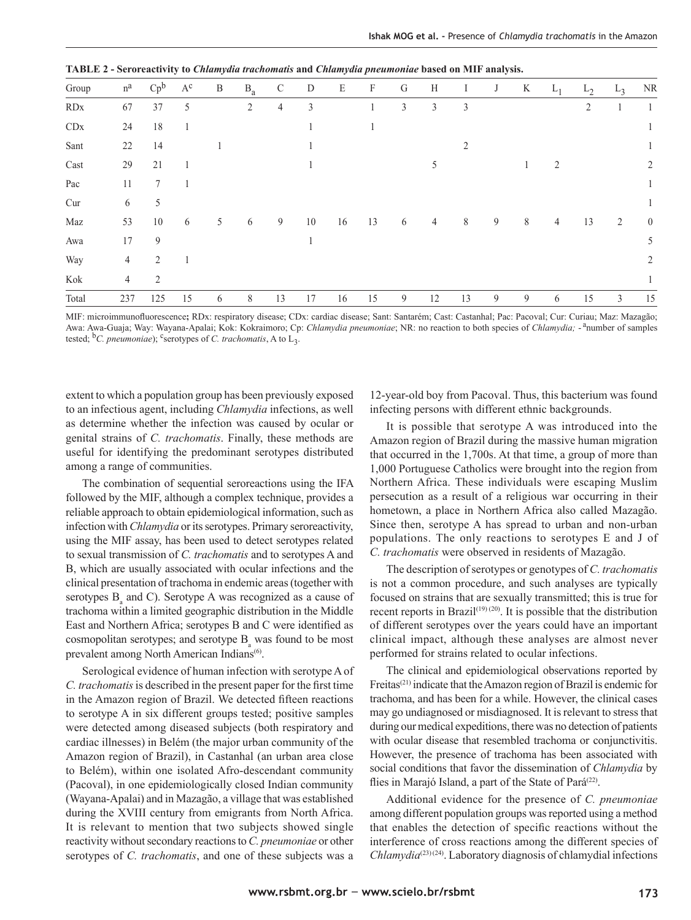| Group                       | $\rm n^a$      | $Cp^b$         | $A^c$ | B | $B_a$ | $\mathcal{C}$ | D  | E  | $\boldsymbol{F}$ | G | H              | $\bf{I}$       | J | K | $L_1$ | $L_2$ | $L_3$ | NR             |
|-----------------------------|----------------|----------------|-------|---|-------|---------------|----|----|------------------|---|----------------|----------------|---|---|-------|-------|-------|----------------|
| RDx                         | 67             | 37             | 5     |   | 2     | 4             | 3  |    |                  | 3 | 3              | 3              |   |   |       | 2     |       |                |
| $\mathop{\rm CDx}\nolimits$ | 24             | 18             |       |   |       |               |    |    |                  |   |                |                |   |   |       |       |       |                |
| Sant                        | 22             | 14             |       |   |       |               |    |    |                  |   |                | $\overline{2}$ |   |   |       |       |       |                |
| $\operatorname{Cast}$       | 29             | 21             |       |   |       |               |    |    |                  |   | 5              |                |   |   | 2     |       |       | 2              |
| Pac                         | 11             | $\tau$         |       |   |       |               |    |    |                  |   |                |                |   |   |       |       |       |                |
| Cur                         | 6              | 5              |       |   |       |               |    |    |                  |   |                |                |   |   |       |       |       |                |
| Maz                         | 53             | $10\,$         | 6     | 5 | 6     | 9             | 10 | 16 | 13               | 6 | $\overline{4}$ | 8              | 9 | 8 | 4     | 13    | 2     | $\overline{0}$ |
| Awa                         | 17             | 9              |       |   |       |               |    |    |                  |   |                |                |   |   |       |       |       | 5              |
| Way                         | $\overline{4}$ | 2              |       |   |       |               |    |    |                  |   |                |                |   |   |       |       |       | $\overline{2}$ |
| Kok                         | $\overline{4}$ | $\mathfrak{D}$ |       |   |       |               |    |    |                  |   |                |                |   |   |       |       |       |                |
| Total                       | 237            | 125            | 15    | 6 | 8     | 13            | 17 | 16 | 15               | 9 | 12             | 13             | 9 | 9 | 6     | 15    | 3     | 15             |

**TABLE 2 - Seroreactivity to** *Chlamydia trachomatis* **and** *Chlamydia pneumoniae* **based on MIF analysis.**

MIF: microimmunofl uorescence**;** RDx: respiratory disease; CDx: cardiac disease; Sant: Santarém; Cast: Castanhal; Pac: Pacoval; Cur: Curiau; Maz: Mazagão; Awa: Awa-Guaja; Way: Wayana-Apalai; Kok: Kokraimoro; Cp: *Chlamydia pneumoniae*; NR: no reaction to both species of *Chlamydia;* - anumber of samples tested;  ${}^{\text{b}}C$ . pneumoniae); <sup>c</sup>serotypes of *C. trachomatis*, A to L<sub>3</sub>.

extent to which a population group has been previously exposed to an infectious agent, including *Chlamydia* infections, as well as determine whether the infection was caused by ocular or genital strains of *C. trachomatis*. Finally, these methods are useful for identifying the predominant serotypes distributed among a range of communities.

The combination of sequential seroreactions using the IFA followed by the MIF, although a complex technique, provides a reliable approach to obtain epidemiological information, such as infection with *Chlamydia* or its serotypes. Primary seroreactivity, using the MIF assay, has been used to detect serotypes related to sexual transmission of *C. trachomatis* and to serotypes A and B, which are usually associated with ocular infections and the clinical presentation of trachoma in endemic areas (together with serotypes  $B_a$  and C). Serotype A was recognized as a cause of trachoma within a limited geographic distribution in the Middle East and Northern Africa; serotypes B and C were identified as cosmopolitan serotypes; and serotype  $B_a$  was found to be most prevalent among North American Indians<sup>(6)</sup>.

Serological evidence of human infection with serotype A of *C. trachomatis* is described in the present paper for the first time in the Amazon region of Brazil. We detected fifteen reactions to serotype A in six different groups tested; positive samples were detected among diseased subjects (both respiratory and cardiac illnesses) in Belém (the major urban community of the Amazon region of Brazil), in Castanhal (an urban area close to Belém), within one isolated Afro-descendant community (Pacoval), in one epidemiologically closed Indian community (Wayana-Apalai) and in Mazagão, a village that was established during the XVIII century from emigrants from North Africa. It is relevant to mention that two subjects showed single reactivity without secondary reactions to *C. pneumoniae* or other serotypes of *C. trachomatis*, and one of these subjects was a

12-year-old boy from Pacoval. Thus, this bacterium was found infecting persons with different ethnic backgrounds.

It is possible that serotype A was introduced into the Amazon region of Brazil during the massive human migration that occurred in the 1,700s. At that time, a group of more than 1,000 Portuguese Catholics were brought into the region from Northern Africa. These individuals were escaping Muslim persecution as a result of a religious war occurring in their hometown, a place in Northern Africa also called Mazagão. Since then, serotype A has spread to urban and non-urban populations. The only reactions to serotypes E and J of *C. trachomatis* were observed in residents of Mazagão.

The description of serotypes or genotypes of *C. trachomatis* is not a common procedure, and such analyses are typically focused on strains that are sexually transmitted; this is true for recent reports in Brazil<sup>(19) (20)</sup>. It is possible that the distribution of different serotypes over the years could have an important clinical impact, although these analyses are almost never performed for strains related to ocular infections.

The clinical and epidemiological observations reported by Freitas<sup>(21)</sup> indicate that the Amazon region of Brazil is endemic for trachoma, and has been for a while. However, the clinical cases may go undiagnosed or misdiagnosed. It is relevant to stress that during our medical expeditions, there was no detection of patients with ocular disease that resembled trachoma or conjunctivitis. However, the presence of trachoma has been associated with social conditions that favor the dissemination of *Chlamydia* by flies in Marajó Island, a part of the State of Pará<sup>(22)</sup>.

Additional evidence for the presence of *C. pneumoniae* among different population groups was reported using a method that enables the detection of specific reactions without the interference of cross reactions among the different species of *Chlamydia*(23) (24). Laboratory diagnosis of chlamydial infections